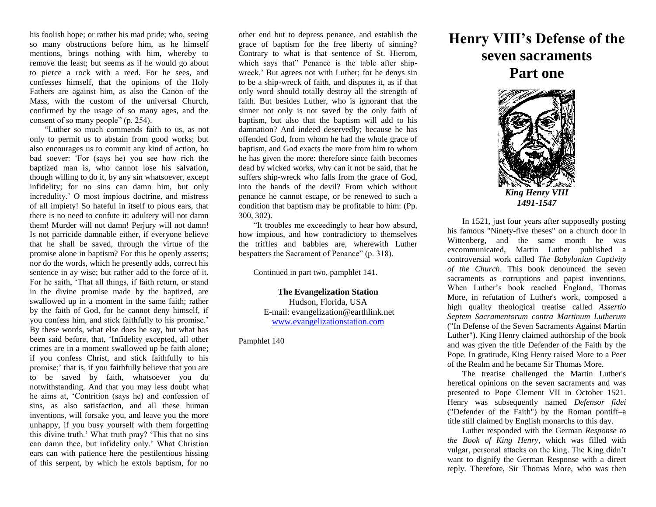his foolish hope; or rather his mad pride; who, seeing so many obstructions before him, as he himself mentions, brings nothing with him, whereby to remove the least; but seems as if he would go about to pierce a rock with a reed. For he sees, and confesses himself, that the opinions of the Holy Fathers are against him, as also the Canon of the Mass, with the custom of the universal Church, confirmed by the usage of so many ages, and the consent of so many people" (p. 254).

"Luther so much commends faith to us, as not only to permit us to abstain from good works; but also encourages us to commit any kind of action, ho bad soever: 'For (says he) you see how rich the baptized man is, who cannot lose his salvation, though willing to do it, by any sin whatsoever, except infidelity; for no sins can damn him, but only incredulity.' O most impious doctrine, and mistress of all impiety! So hateful in itself to pious ears, that there is no need to confute it: adultery will not damn them! Murder will not damn! Perjury will not damn! Is not parricide damnable either, if everyone believe that he shall be saved, through the virtue of the promise alone in baptism? For this he openly asserts; nor do the words, which he presently adds, correct his sentence in ay wise; but rather add to the force of it. For he saith, 'That all things, if faith return, or stand in the divine promise made by the baptized, are swallowed up in a moment in the same faith; rather by the faith of God, for he cannot deny himself, if you confess him, and stick faithfully to his promise.' By these words, what else does he say, but what has been said before, that, 'Infidelity excepted, all other crimes are in a moment swallowed up be faith alone; if you confess Christ, and stick faithfully to his promise;' that is, if you faithfully believe that you are to be saved by faith, whatsoever you do notwithstanding. And that you may less doubt what he aims at, 'Contrition (says he) and confession of sins, as also satisfaction, and all these human inventions, will forsake you, and leave you the more unhappy, if you busy yourself with them forgetting this divine truth.' What truth pray? 'This that no sins can damn thee, but infidelity only.' What Christian ears can with patience here the pestilentious hissing of this serpent, by which he extols baptism, for no

other end but to depress penance, and establish the grace of baptism for the free liberty of sinning? Contrary to what is that sentence of St. Hierom, which says that" Penance is the table after shipwreck.' But agrees not with Luther; for he denys sin to be a ship-wreck of faith, and disputes it, as if that only word should totally destroy all the strength of faith. But besides Luther, who is ignorant that the sinner not only is not saved by the only faith of baptism, but also that the baptism will add to his damnation? And indeed deservedly; because he has offended God, from whom he had the whole grace of baptism, and God exacts the more from him to whom he has given the more: therefore since faith becomes dead by wicked works, why can it not be said, that he suffers ship-wreck who falls from the grace of God, into the hands of the devil? From which without penance he cannot escape, or be renewed to such a condition that baptism may be profitable to him: (Pp. 300, 302).

"It troubles me exceedingly to hear how absurd, how impious, and how contradictory to themselves the triffles and babbles are, wherewith Luther bespatters the Sacrament of Penance" (p. 318).

Continued in part two, pamphlet 141.

**The Evangelization Station** Hudson, Florida, USA E-mail: evangelization@earthlink.net [www.evangelizationstation.com](http://www.pjpiisoe.org/)

Pamphlet 140

## **Henry VIII's Defense of the seven sacraments Part one**



In 1521, just four years after supposedly posting his famous "Ninety-five theses" on a church door in Wittenberg, and the same month he was excommunicated, Martin Luther published a controversial work called *The Babylonian Captivity of the Church*. This book denounced the seven sacraments as corruptions and papist inventions. When Luther's book reached England, Thomas More, in refutation of Luther's work, composed a high quality theological treatise called *Assertio Septem Sacramentorum contra Martinum Lutherum* ("In Defense of the Seven Sacraments Against Martin Luther"). King Henry claimed authorship of the book and was given the title Defender of the Faith by the Pope. In gratitude, King Henry raised More to a Peer of the Realm and he became Sir Thomas More.

The treatise challenged the Martin Luther's heretical opinions on the seven sacraments and was presented to Pope Clement VII in October 1521. Henry was subsequently named *Defensor fidei* ("Defender of the Faith") by the Roman pontiff–a title still claimed by English monarchs to this day.

Luther responded with the German *Response to the Book of King Henry*, which was filled with vulgar, personal attacks on the king. The King didn't want to dignify the German Response with a direct reply. Therefore, Sir Thomas More, who was then